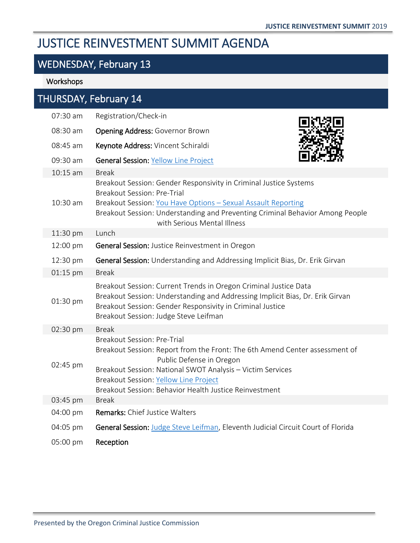# JUSTICE REINVESTMENT SUMMIT AGENDA

# WEDNESDAY, February 13

### Workshops

| THURSDAY, February 14 |          |                                                                                                                                                                                                                                                                                                                       |  |
|-----------------------|----------|-----------------------------------------------------------------------------------------------------------------------------------------------------------------------------------------------------------------------------------------------------------------------------------------------------------------------|--|
|                       | 07:30 am | Registration/Check-in                                                                                                                                                                                                                                                                                                 |  |
|                       | 08:30 am | Opening Address: Governor Brown                                                                                                                                                                                                                                                                                       |  |
|                       | 08:45 am | Keynote Address: Vincent Schiraldi                                                                                                                                                                                                                                                                                    |  |
|                       | 09:30 am | <b>General Session: Yellow Line Project</b>                                                                                                                                                                                                                                                                           |  |
|                       | 10:15 am | <b>Break</b>                                                                                                                                                                                                                                                                                                          |  |
|                       | 10:30 am | Breakout Session: Gender Responsivity in Criminal Justice Systems<br><b>Breakout Session: Pre-Trial</b><br>Breakout Session: You Have Options - Sexual Assault Reporting<br>Breakout Session: Understanding and Preventing Criminal Behavior Among People<br>with Serious Mental Illness                              |  |
|                       | 11:30 pm | Lunch                                                                                                                                                                                                                                                                                                                 |  |
|                       | 12:00 pm | <b>General Session: Justice Reinvestment in Oregon</b>                                                                                                                                                                                                                                                                |  |
|                       | 12:30 pm | General Session: Understanding and Addressing Implicit Bias, Dr. Erik Girvan                                                                                                                                                                                                                                          |  |
|                       | 01:15 pm | <b>Break</b>                                                                                                                                                                                                                                                                                                          |  |
|                       | 01:30 pm | Breakout Session: Current Trends in Oregon Criminal Justice Data<br>Breakout Session: Understanding and Addressing Implicit Bias, Dr. Erik Girvan<br>Breakout Session: Gender Responsivity in Criminal Justice<br>Breakout Session: Judge Steve Leifman                                                               |  |
|                       | 02:30 pm | <b>Break</b>                                                                                                                                                                                                                                                                                                          |  |
|                       | 02:45 pm | <b>Breakout Session: Pre-Trial</b><br>Breakout Session: Report from the Front: The 6th Amend Center assessment of<br>Public Defense in Oregon<br>Breakout Session: National SWOT Analysis - Victim Services<br><b>Breakout Session: Yellow Line Project</b><br>Breakout Session: Behavior Health Justice Reinvestment |  |
|                       | 03:45 pm | <b>Break</b>                                                                                                                                                                                                                                                                                                          |  |
|                       | 04:00 pm | <b>Remarks: Chief Justice Walters</b>                                                                                                                                                                                                                                                                                 |  |
|                       | 04:05 pm | General Session: Judge Steve Leifman, Eleventh Judicial Circuit Court of Florida                                                                                                                                                                                                                                      |  |
|                       | 05:00 pm | Reception                                                                                                                                                                                                                                                                                                             |  |